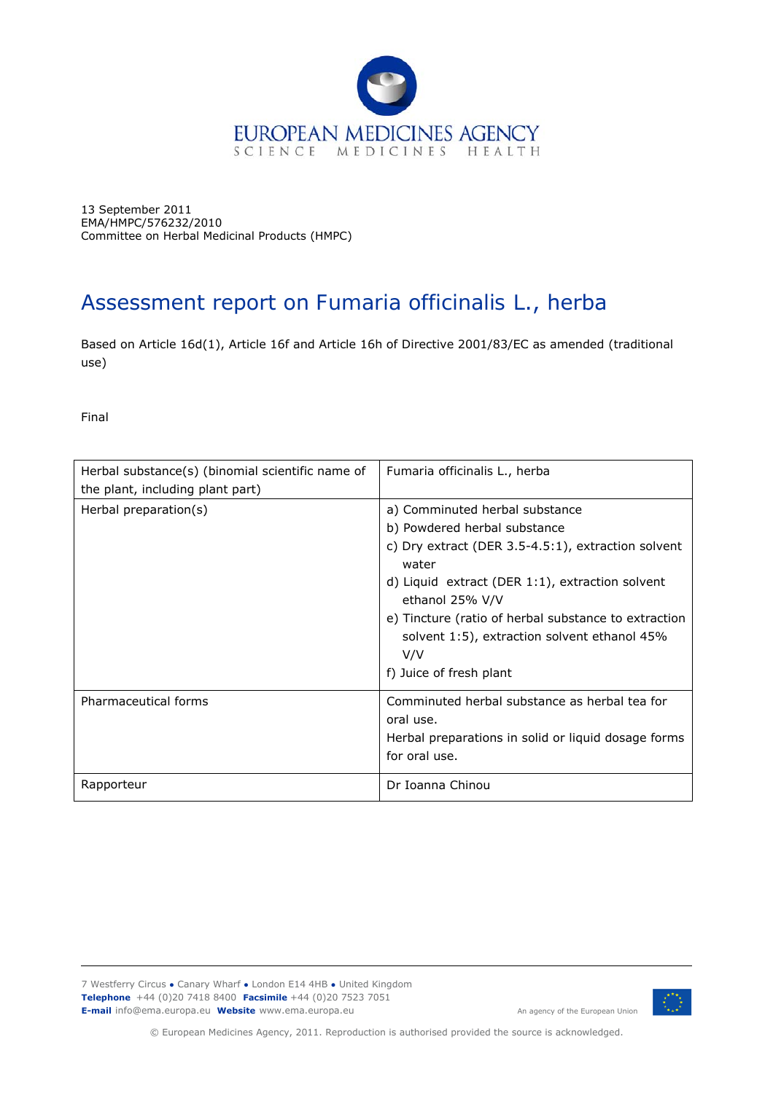

13 September 2011 EMA/HMPC/576232/2010 Committee on Herbal Medicinal Products (HMPC)

# Assessment report on *Fumaria officinalis* L., herba

Based on Article 16d(1), Article 16f and Article 16h of Directive 2001/83/EC as amended (traditional use)

Final

| Herbal substance(s) (binomial scientific name of<br>the plant, including plant part) | <i>Fumaria officinalis L., herba</i>                                                                                                                                                                                                                                                                                                          |
|--------------------------------------------------------------------------------------|-----------------------------------------------------------------------------------------------------------------------------------------------------------------------------------------------------------------------------------------------------------------------------------------------------------------------------------------------|
| Herbal preparation(s)                                                                | a) Comminuted herbal substance<br>b) Powdered herbal substance<br>c) Dry extract (DER 3.5-4.5:1), extraction solvent<br>water<br>d) Liquid extract (DER 1:1), extraction solvent<br>ethanol 25% V/V<br>e) Tincture (ratio of herbal substance to extraction<br>solvent 1:5), extraction solvent ethanol 45%<br>V/V<br>f) Juice of fresh plant |
| Pharmaceutical forms                                                                 | Comminuted herbal substance as herbal tea for<br>oral use.<br>Herbal preparations in solid or liquid dosage forms<br>for oral use.                                                                                                                                                                                                            |
| Rapporteur                                                                           | Dr Ioanna Chinou                                                                                                                                                                                                                                                                                                                              |

7 Westferry Circus **●** Canary Wharf **●** London E14 4HB **●** United Kingdom **Telephone** +44 (0)20 7418 8400 **Facsimile** +44 (0)20 7523 7051 **E-mail** info@ema.europa.eu **Website** www.ema.europa.eu An agency of the European Union



© European Medicines Agency, 2011. Reproduction is authorised provided the source is acknowledged.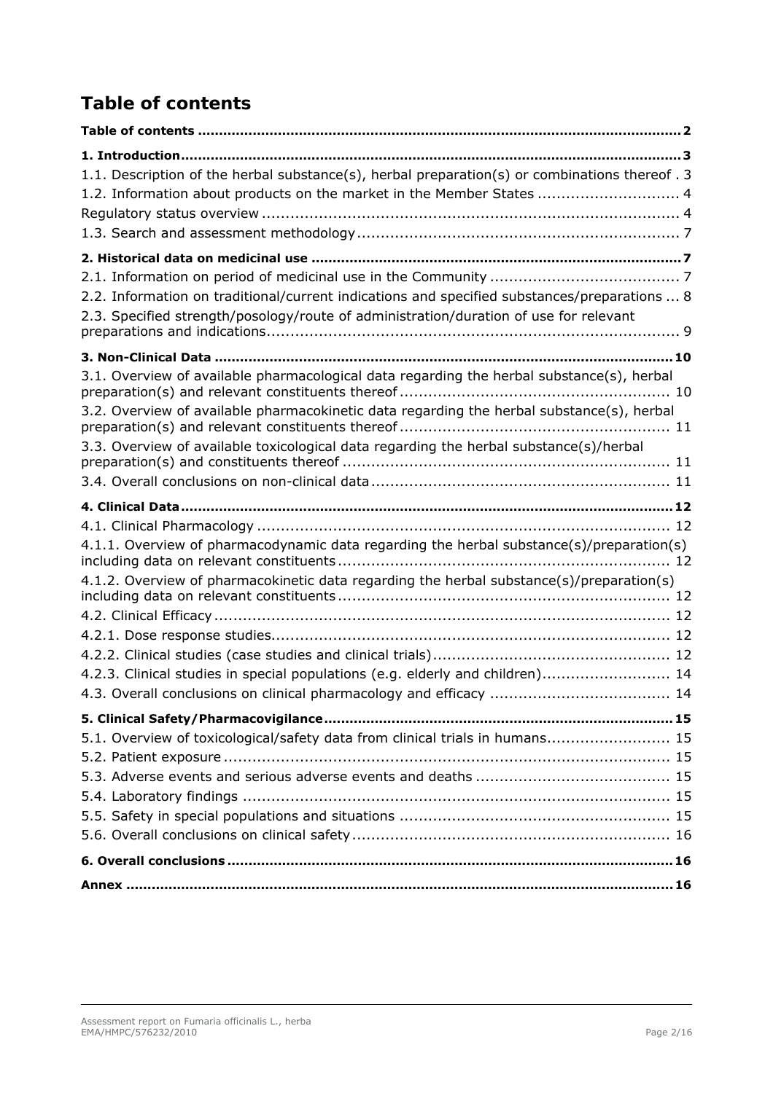# <span id="page-1-0"></span>*Table of contents*

| 1.1. Description of the herbal substance(s), herbal preparation(s) or combinations thereof . 3<br>1.2. Information about products on the market in the Member States  4                                                                                                          |
|----------------------------------------------------------------------------------------------------------------------------------------------------------------------------------------------------------------------------------------------------------------------------------|
|                                                                                                                                                                                                                                                                                  |
| 2.2. Information on traditional/current indications and specified substances/preparations  8<br>2.3. Specified strength/posology/route of administration/duration of use for relevant                                                                                            |
|                                                                                                                                                                                                                                                                                  |
| 3.1. Overview of available pharmacological data regarding the herbal substance(s), herbal<br>3.2. Overview of available pharmacokinetic data regarding the herbal substance(s), herbal<br>3.3. Overview of available toxicological data regarding the herbal substance(s)/herbal |
|                                                                                                                                                                                                                                                                                  |
| 4.1.1. Overview of pharmacodynamic data regarding the herbal substance(s)/preparation(s)                                                                                                                                                                                         |
| 4.1.2. Overview of pharmacokinetic data regarding the herbal substance(s)/preparation(s)                                                                                                                                                                                         |
|                                                                                                                                                                                                                                                                                  |
| 4.2.3. Clinical studies in special populations (e.g. elderly and children) 14                                                                                                                                                                                                    |
|                                                                                                                                                                                                                                                                                  |
| 5.1. Overview of toxicological/safety data from clinical trials in humans 15                                                                                                                                                                                                     |
|                                                                                                                                                                                                                                                                                  |
|                                                                                                                                                                                                                                                                                  |
|                                                                                                                                                                                                                                                                                  |
|                                                                                                                                                                                                                                                                                  |
|                                                                                                                                                                                                                                                                                  |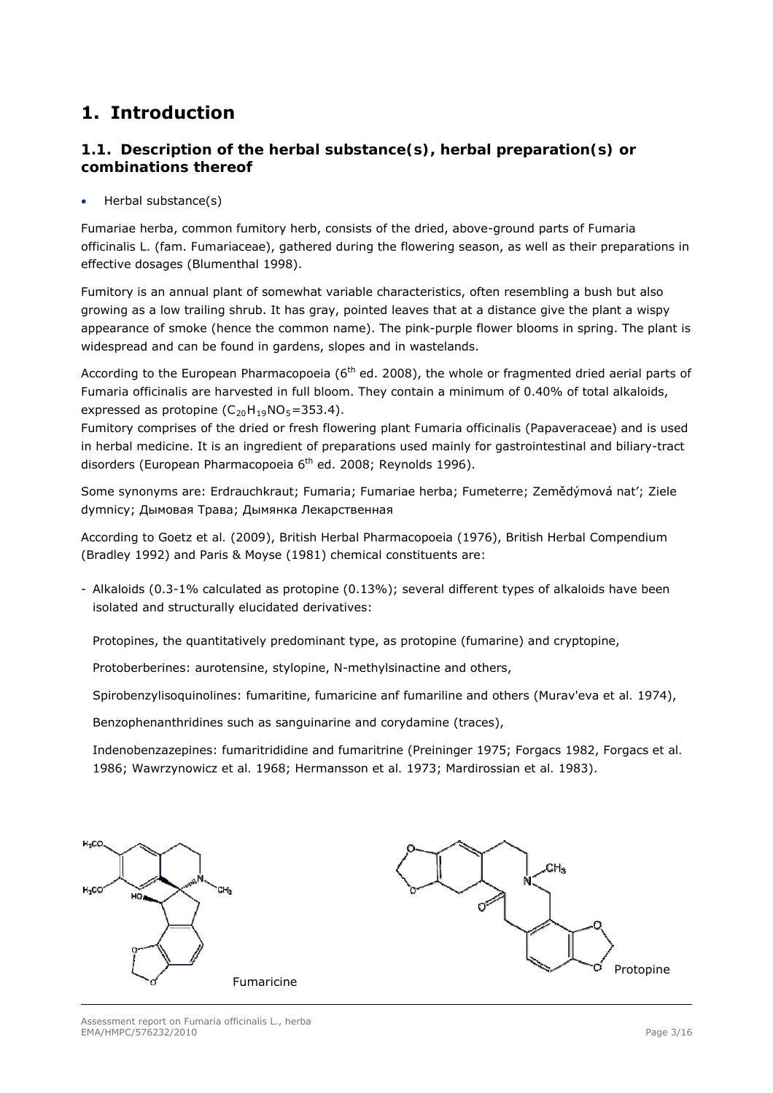# <span id="page-2-0"></span>**1. Introduction**

# <span id="page-2-1"></span>*1.1. Description of the herbal substance(s), herbal preparation(s) or combinations thereof*

Herbal substance(s)

Fumariae herba, common fumitory herb, consists of the dried, above-ground parts of *Fumaria officinalis* L. (fam. *Fumariaceae*), gathered during the flowering season, as well as their preparations in effective dosages (Blumenthal 1998).

Fumitory is an annual plant of somewhat variable characteristics, often resembling a bush but also growing as a low trailing shrub. It has gray, pointed leaves that at a distance give the plant a wispy appearance of smoke (hence the common name). The pink-purple flower blooms in spring. The plant is widespread and can be found in gardens, slopes and in wastelands.

According to the European Pharmacopoeia ( $6<sup>th</sup>$  ed. 2008), the whole or fragmented dried aerial parts of *Fumaria officinalis* are harvested in full bloom. They contain a minimum of 0.40% of total alkaloids, expressed as protopine  $(C_{20}H_{19}NO_5=353.4)$ .

Fumitory comprises of the dried or fresh flowering plant *Fumaria officinalis* (*Papaveraceae*) and is used in herbal medicine. It is an ingredient of preparations used mainly for gastrointestinal and biliary-tract disorders (European Pharmacopoeia 6<sup>th</sup> ed. 2008; Reynolds 1996).

Some synonyms are: Erdrauchkraut; Fumaria; Fumariae herba; Fumeterre; Zemědýmová nat'; Ziele dymnicy; Дымовая Трава; Дымянка Лекарственная

According to Goetz *et al.* (2009), British Herbal Pharmacopoeia (1976), British Herbal Compendium (Bradley 1992) and Paris & Moyse (1981) chemical constituents are:

- Alkaloids (0.3-1% calculated as protopine (0.13%); several different types of alkaloids have been isolated and structurally elucidated derivatives:

Protopines, the quantitatively predominant type, as protopine (fumarine) and cryptopine,

Protoberberines: aurotensine, stylopine, N-methylsinactine and others,

Spirobenzylisoquinolines: fumaritine, fumaricine anf fumariline and others (Murav'eva *et al.* 1974),

Benzophenanthridines such as sanguinarine and corydamine (traces),

Indenobenzazepines: fumaritrididine and fumaritrine (Preininger 1975; Forgacs 1982, Forgacs *et al.*  1986; Wawrzynowicz *et al.* 1968; Hermansson *et al.* 1973; Mardirossian *et al.* 1983).

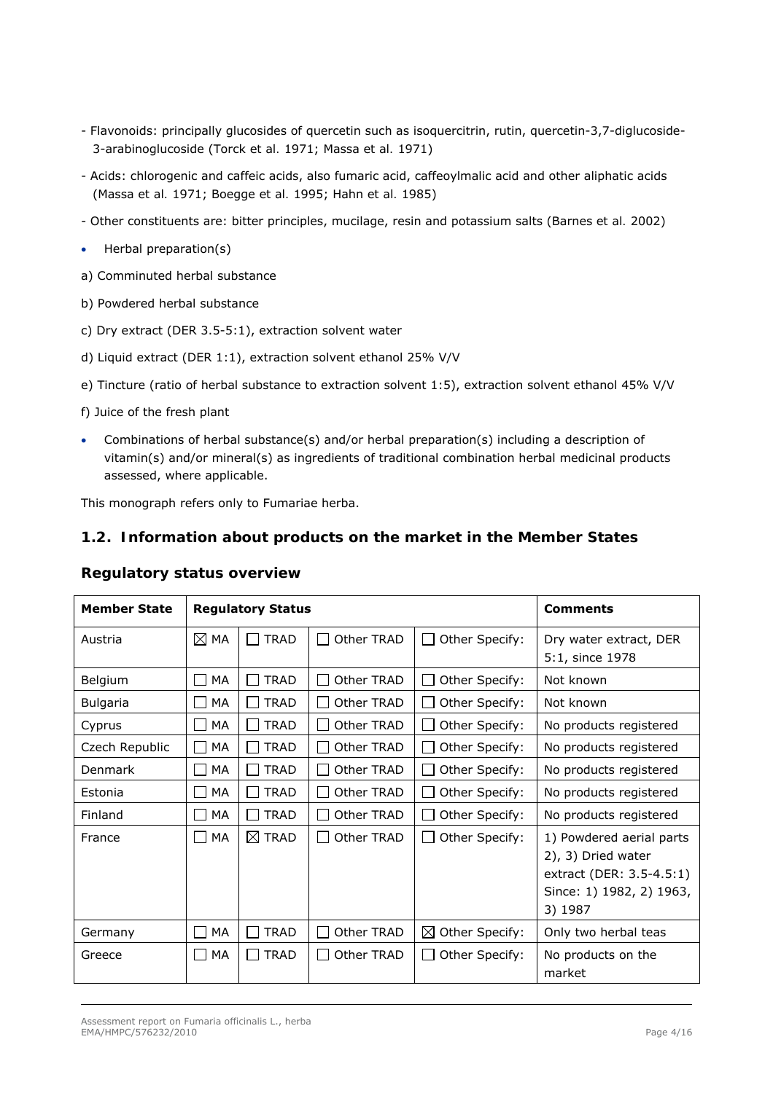- Flavonoids: principally glucosides of quercetin such as isoquercitrin, rutin, quercetin-3,7-diglucoside-3-arabinoglucoside (Torck *et al.* 1971; Massa *et al.* 1971)
- Acids: chlorogenic and caffeic acids, also fumaric acid, caffeoylmalic acid and other aliphatic acids (Massa *et al.* 1971; Boegge *et al.* 1995; Hahn *et al.* 1985)
- Other constituents are: bitter principles, mucilage, resin and potassium salts (Barnes *et al.* 2002)
- Herbal preparation(s)
- a) Comminuted herbal substance
- b) Powdered herbal substance
- c) Dry extract (DER 3.5-5:1), extraction solvent water
- d) Liquid extract (DER 1:1), extraction solvent ethanol 25% V/V
- e) Tincture (ratio of herbal substance to extraction solvent 1:5), extraction solvent ethanol 45% V/V
- f) Juice of the fresh plant
- Combinations of herbal substance(s) and/or herbal preparation(s) including a description of vitamin(s) and/or mineral(s) as ingredients of traditional combination herbal medicinal products assessed, where applicable.

This monograph refers only to Fumariae herba.

## <span id="page-3-0"></span>*1.2. Information about products on the market in the Member States*

<span id="page-3-1"></span>

| <b>Member State</b> | <b>Regulatory Status</b> |                               |            | <b>Comments</b>            |                                                                                                                   |
|---------------------|--------------------------|-------------------------------|------------|----------------------------|-------------------------------------------------------------------------------------------------------------------|
| Austria             | $\boxtimes$ MA           | <b>TRAD</b><br>$\mathbf{L}$   | Other TRAD | Other Specify:             | Dry water extract, DER<br>5:1, since 1978                                                                         |
| Belgium             | MA<br>l.                 | <b>TRAD</b>                   | Other TRAD | Other Specify:             | Not known                                                                                                         |
| <b>Bulgaria</b>     | MA<br><b>Contract</b>    | <b>TRAD</b>                   | Other TRAD | Other Specify:             | Not known                                                                                                         |
| Cyprus              | МA<br>ΙI                 | <b>TRAD</b><br>$\mathbf{I}$   | Other TRAD | Other Specify:             | No products registered                                                                                            |
| Czech Republic      | MA<br>$\Box$             | <b>TRAD</b>                   | Other TRAD | Other Specify:             | No products registered                                                                                            |
| Denmark             | MA<br>$\Box$             | <b>TRAD</b><br><b>College</b> | Other TRAD | Other Specify:             | No products registered                                                                                            |
| Estonia             | MA<br><b>College</b>     | <b>TRAD</b><br><b>College</b> | Other TRAD | Other Specify:             | No products registered                                                                                            |
| Finland             | MA<br>$\mathsf{L}$       | <b>TRAD</b><br><b>College</b> | Other TRAD | Other Specify:             | No products registered                                                                                            |
| France              | $\Box$ Ma                | $\boxtimes$ Trad              | Other TRAD | Other Specify:             | 1) Powdered aerial parts<br>2), 3) Dried water<br>extract (DER: 3.5-4.5:1)<br>Since: 1) 1982, 2) 1963,<br>3) 1987 |
| Germany             | МA                       | <b>TRAD</b>                   | Other TRAD | $\boxtimes$ Other Specify: | Only two herbal teas                                                                                              |
| Greece              | МA<br>$\blacksquare$     | <b>TRAD</b>                   | Other TRAD | Other Specify:             | No products on the<br>market                                                                                      |

## *Regulatory status overview*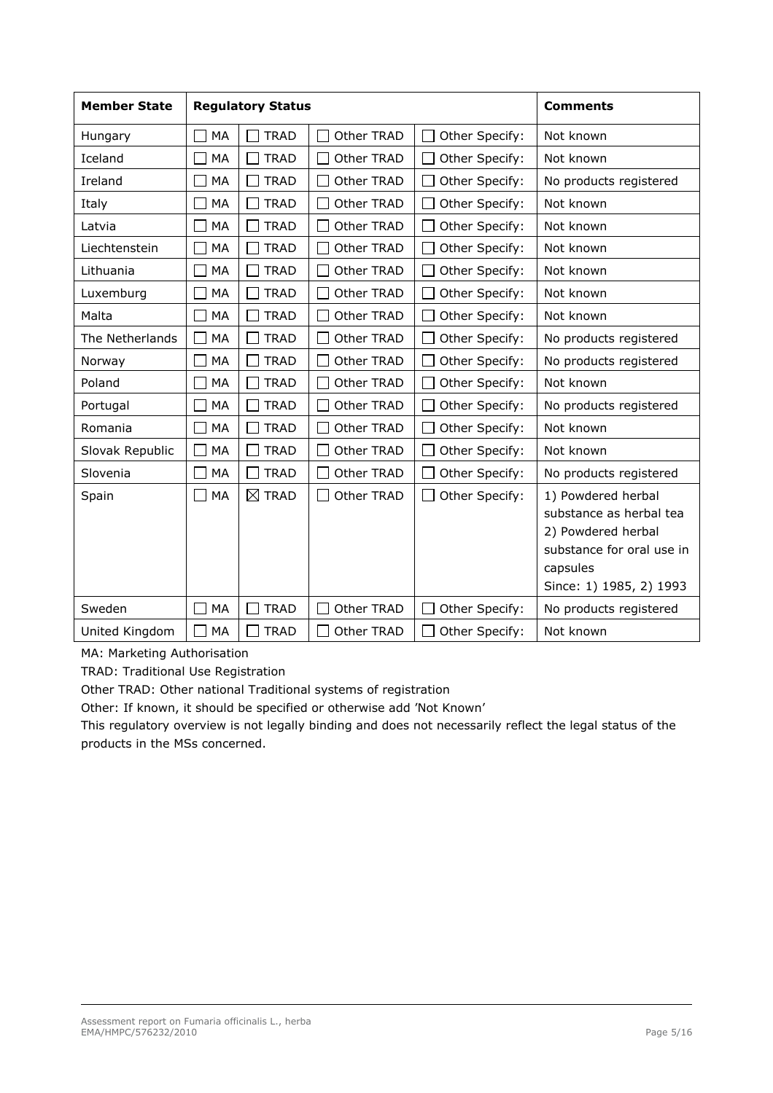| <b>Member State</b> | <b>Regulatory Status</b> |                  | <b>Comments</b> |                |                                                                                                                                         |
|---------------------|--------------------------|------------------|-----------------|----------------|-----------------------------------------------------------------------------------------------------------------------------------------|
| Hungary             | MA                       | <b>TRAD</b>      | Other TRAD      | Other Specify: | Not known                                                                                                                               |
| Iceland             | MA                       | <b>TRAD</b>      | Other TRAD      | Other Specify: | Not known                                                                                                                               |
| Ireland             | MA                       | <b>TRAD</b>      | Other TRAD      | Other Specify: | No products registered                                                                                                                  |
| Italy               | MA                       | <b>TRAD</b>      | Other TRAD      | Other Specify: | Not known                                                                                                                               |
| Latvia              | MA                       | <b>TRAD</b>      | Other TRAD      | Other Specify: | Not known                                                                                                                               |
| Liechtenstein       | MA                       | <b>TRAD</b>      | Other TRAD      | Other Specify: | Not known                                                                                                                               |
| Lithuania           | MA                       | <b>TRAD</b>      | Other TRAD      | Other Specify: | Not known                                                                                                                               |
| Luxemburg           | <b>MA</b>                | <b>TRAD</b>      | Other TRAD      | Other Specify: | Not known                                                                                                                               |
| Malta               | MA                       | <b>TRAD</b>      | Other TRAD      | Other Specify: | Not known                                                                                                                               |
| The Netherlands     | MA                       | <b>TRAD</b>      | Other TRAD      | Other Specify: | No products registered                                                                                                                  |
| Norway              | MA                       | <b>TRAD</b>      | Other TRAD      | Other Specify: | No products registered                                                                                                                  |
| Poland              | <b>MA</b>                | <b>TRAD</b>      | Other TRAD      | Other Specify: | Not known                                                                                                                               |
| Portugal            | MA                       | <b>TRAD</b>      | Other TRAD      | Other Specify: | No products registered                                                                                                                  |
| Romania             | MA                       | <b>TRAD</b>      | Other TRAD      | Other Specify: | Not known                                                                                                                               |
| Slovak Republic     | MA                       | <b>TRAD</b>      | Other TRAD      | Other Specify: | Not known                                                                                                                               |
| Slovenia            | MA                       | <b>TRAD</b>      | Other TRAD      | Other Specify: | No products registered                                                                                                                  |
| Spain               | MA                       | $\boxtimes$ TRAD | Other TRAD      | Other Specify: | 1) Powdered herbal<br>substance as herbal tea<br>2) Powdered herbal<br>substance for oral use in<br>capsules<br>Since: 1) 1985, 2) 1993 |
| Sweden              | MA                       | <b>TRAD</b>      | Other TRAD      | Other Specify: | No products registered                                                                                                                  |
| United Kingdom      | MA                       | <b>TRAD</b>      | Other TRAD      | Other Specify: | Not known                                                                                                                               |

MA: Marketing Authorisation

TRAD: Traditional Use Registration

Other TRAD: Other national Traditional systems of registration

Other: If known, it should be specified or otherwise add 'Not Known'

This regulatory overview is not legally binding and does not necessarily reflect the legal status of the products in the MSs concerned.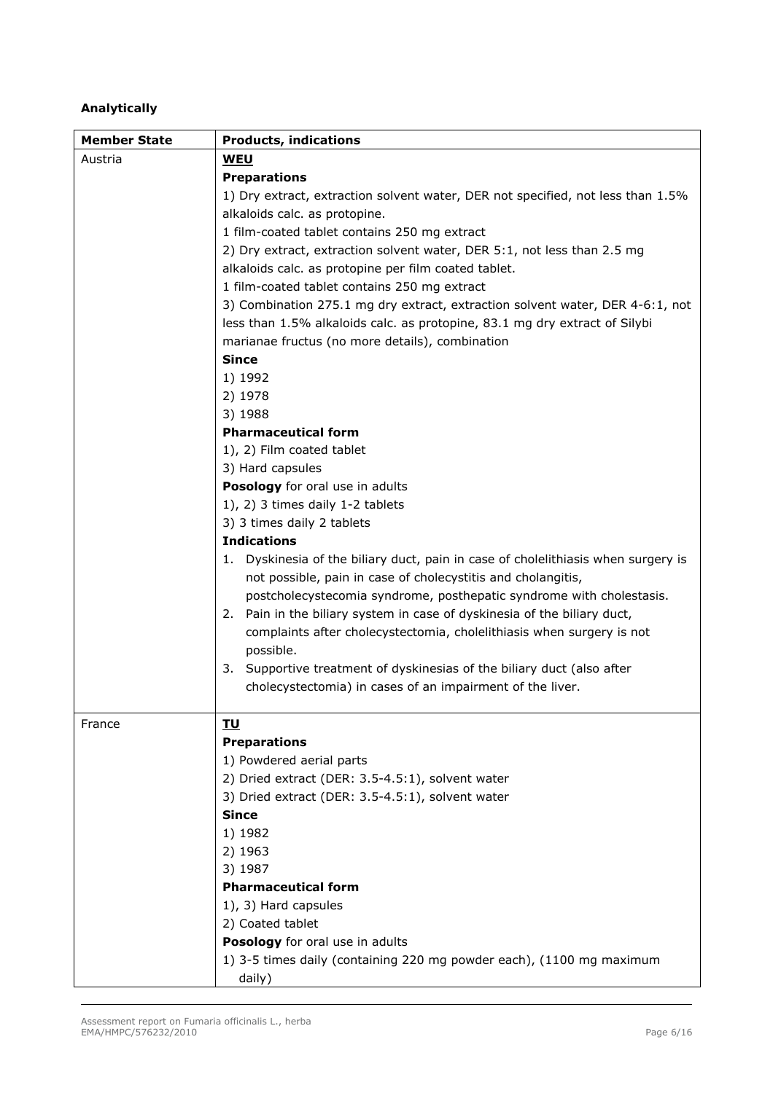## *Analytically*

<span id="page-5-1"></span><span id="page-5-0"></span>

| <b>Member State</b> | <b>Products, indications</b>                                                      |
|---------------------|-----------------------------------------------------------------------------------|
| Austria             | <u>WEU</u>                                                                        |
|                     | <b>Preparations</b>                                                               |
|                     | 1) Dry extract, extraction solvent water, DER not specified, not less than 1.5%   |
|                     | alkaloids calc. as protopine.                                                     |
|                     | 1 film-coated tablet contains 250 mg extract                                      |
|                     | 2) Dry extract, extraction solvent water, DER 5:1, not less than 2.5 mg           |
|                     | alkaloids calc. as protopine per film coated tablet.                              |
|                     | 1 film-coated tablet contains 250 mg extract                                      |
|                     | 3) Combination 275.1 mg dry extract, extraction solvent water, DER 4-6:1, not     |
|                     | less than 1.5% alkaloids calc. as protopine, 83.1 mg dry extract of Silybi        |
|                     | marianae fructus (no more details), combination                                   |
|                     | <b>Since</b>                                                                      |
|                     | 1) 1992                                                                           |
|                     | 2) 1978                                                                           |
|                     | 3) 1988                                                                           |
|                     | <b>Pharmaceutical form</b>                                                        |
|                     | 1), 2) Film coated tablet                                                         |
|                     | 3) Hard capsules                                                                  |
|                     | Posology for oral use in adults                                                   |
|                     | 1), 2) 3 times daily $1-2$ tablets                                                |
|                     | 3) 3 times daily 2 tablets                                                        |
|                     | <b>Indications</b>                                                                |
|                     | 1. Dyskinesia of the biliary duct, pain in case of cholelithiasis when surgery is |
|                     | not possible, pain in case of cholecystitis and cholangitis,                      |
|                     | postcholecystecomia syndrome, posthepatic syndrome with cholestasis.              |
|                     | 2. Pain in the biliary system in case of dyskinesia of the biliary duct,          |
|                     | complaints after cholecystectomia, cholelithiasis when surgery is not             |
|                     | possible.                                                                         |
|                     | 3. Supportive treatment of dyskinesias of the biliary duct (also after            |
|                     | cholecystectomia) in cases of an impairment of the liver.                         |
|                     |                                                                                   |
| France              | <b>TU</b>                                                                         |
|                     | <b>Preparations</b>                                                               |
|                     | 1) Powdered aerial parts                                                          |
|                     | 2) Dried extract (DER: 3.5-4.5:1), solvent water                                  |
|                     | 3) Dried extract (DER: 3.5-4.5:1), solvent water<br><b>Since</b>                  |
|                     | 1) 1982                                                                           |
|                     | 2) 1963                                                                           |
|                     | 3) 1987                                                                           |
|                     | <b>Pharmaceutical form</b>                                                        |
|                     | 1), 3) Hard capsules                                                              |
|                     | 2) Coated tablet                                                                  |
|                     | Posology for oral use in adults                                                   |
|                     | 1) 3-5 times daily (containing 220 mg powder each), (1100 mg maximum              |
|                     | daily)                                                                            |
|                     |                                                                                   |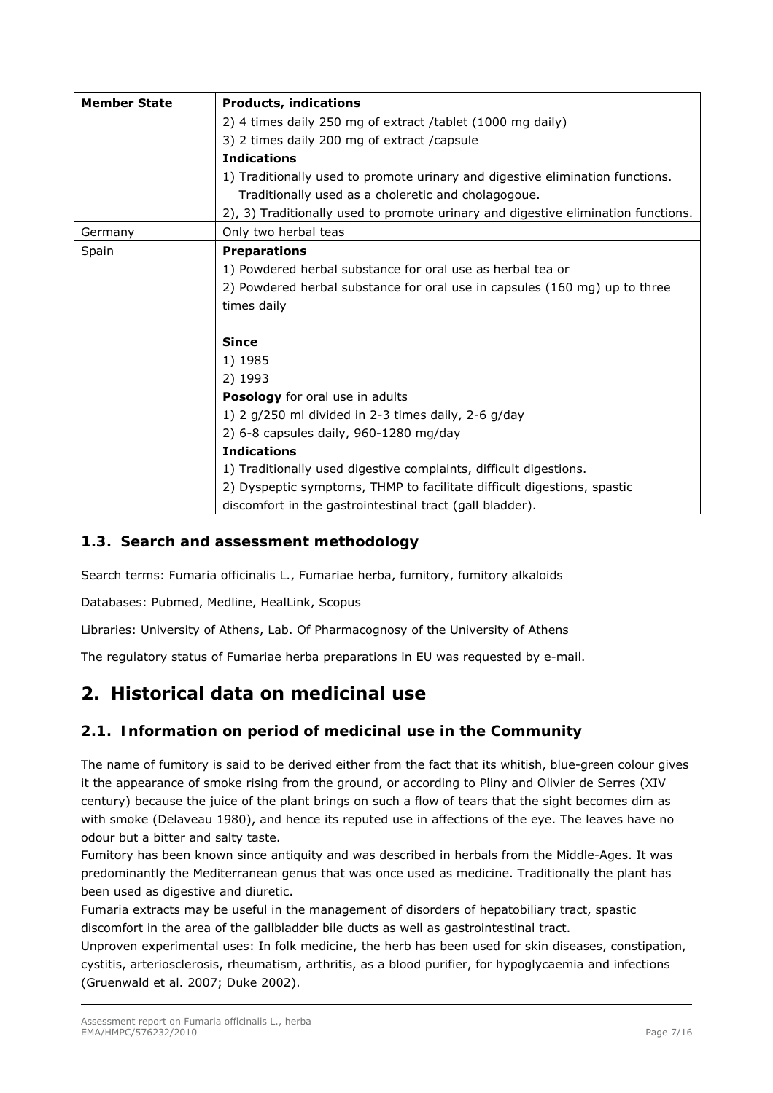| <b>Member State</b> | <b>Products, indications</b>                                                      |
|---------------------|-----------------------------------------------------------------------------------|
|                     | 2) 4 times daily 250 mg of extract /tablet (1000 mg daily)                        |
|                     | 3) 2 times daily 200 mg of extract / capsule                                      |
|                     | <b>Indications</b>                                                                |
|                     | 1) Traditionally used to promote urinary and digestive elimination functions.     |
|                     | Traditionally used as a choleretic and cholagogoue.                               |
|                     | 2), 3) Traditionally used to promote urinary and digestive elimination functions. |
| Germany             | Only two herbal teas                                                              |
| Spain               | <b>Preparations</b>                                                               |
|                     | 1) Powdered herbal substance for oral use as herbal tea or                        |
|                     | 2) Powdered herbal substance for oral use in capsules (160 mg) up to three        |
|                     | times daily                                                                       |
|                     |                                                                                   |
|                     | <b>Since</b>                                                                      |
|                     | 1) 1985                                                                           |
|                     | 2) 1993                                                                           |
|                     | Posology for oral use in adults                                                   |
|                     | 1) 2 $g/250$ ml divided in 2-3 times daily, 2-6 $g/day$                           |
|                     | 2) 6-8 capsules daily, 960-1280 mg/day                                            |
|                     | <b>Indications</b>                                                                |
|                     | 1) Traditionally used digestive complaints, difficult digestions.                 |
|                     | 2) Dyspeptic symptoms, THMP to facilitate difficult digestions, spastic           |
|                     | discomfort in the gastrointestinal tract (gall bladder).                          |

## <span id="page-6-0"></span>*1.3. Search and assessment methodology*

Search terms: *Fumaria officinalis* L., Fumariae herba, fumitory, fumitory alkaloids

Databases: Pubmed, Medline, HealLink, Scopus

Libraries: University of Athens, Lab. Of Pharmacognosy of the University of Athens

The regulatory status of Fumariae herba preparations in EU was requested by e-mail.

# **2. Historical data on medicinal use**

## *2.1. Information on period of medicinal use in the Community*

The name of fumitory is said to be derived either from the fact that its whitish, blue-green colour gives it the appearance of smoke rising from the ground, or according to Pliny and Olivier de Serres (XIV century) because the juice of the plant brings on such a flow of tears that the sight becomes dim as with smoke (Delaveau 1980), and hence its reputed use in affections of the eye. The leaves have no odour but a bitter and salty taste.

Fumitory has been known since antiquity and was described in herbals from the Middle-Ages. It was predominantly the Mediterranean genus that was once used as medicine. Traditionally the plant has been used as digestive and diuretic.

*Fumaria* extracts may be useful in the management of disorders of hepatobiliary tract, spastic discomfort in the area of the gallbladder bile ducts as well as gastrointestinal tract.

Unproven experimental uses: In folk medicine, the herb has been used for skin diseases, constipation, cystitis, arteriosclerosis, rheumatism, arthritis, as a blood purifier, for hypoglycaemia and infections (Gruenwald *et al.* 2007; Duke 2002).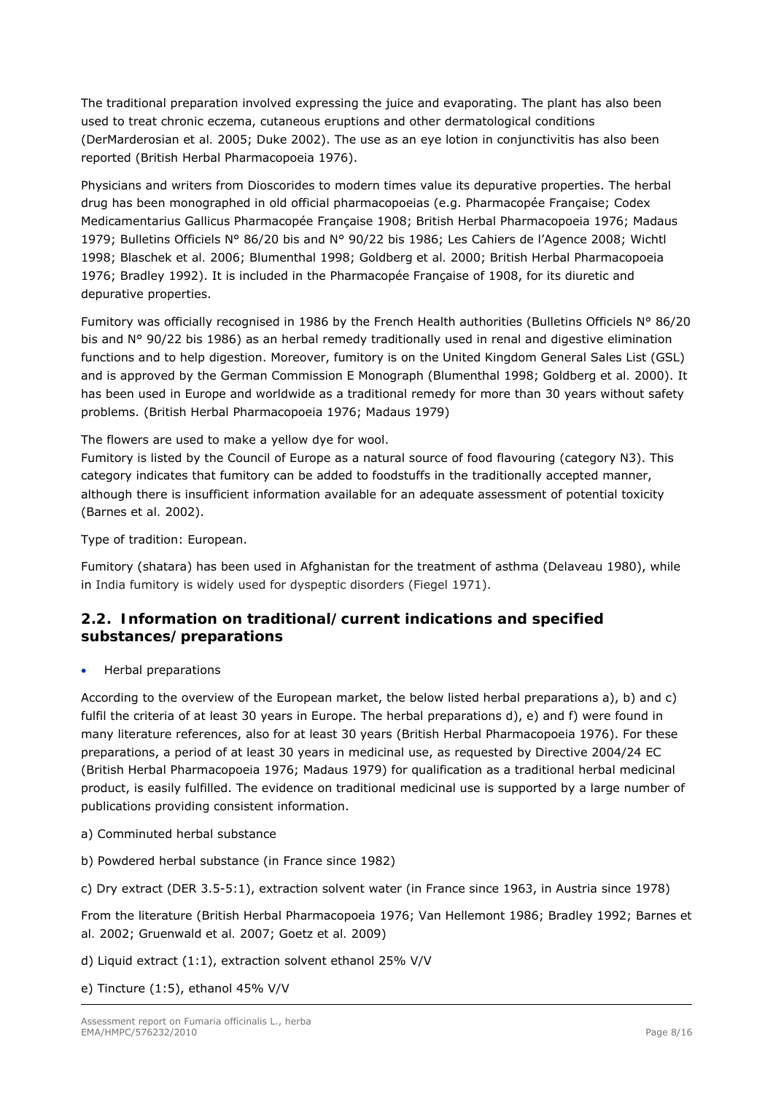The traditional preparation involved expressing the juice and evaporating. The plant has also been used to treat chronic eczema, cutaneous eruptions and other dermatological conditions (DerMarderosian *et al.* 2005; Duke 2002). The use as an eye lotion in conjunctivitis has also been reported (British Herbal Pharmacopoeia 1976).

Physicians and writers from Dioscorides to modern times value its depurative properties. The herbal drug has been monographed in old official pharmacopoeias (e.g. Pharmacopée Française; Codex Medicamentarius Gallicus Pharmacopée Française 1908; British Herbal Pharmacopoeia 1976; Madaus 1979; Bulletins Officiels N° 86/20 bis and N° 90/22 bis 1986; Les Cahiers de l'Agence 2008; Wichtl 1998; Blaschek *et al.* 2006; Blumenthal 1998; Goldberg *et al.* 2000; British Herbal Pharmacopoeia 1976; Bradley 1992). It is included in the Pharmacopée Française of 1908, for its diuretic and depurative properties.

Fumitory was officially recognised in 1986 by the French Health authorities (Bulletins Officiels N° 86/20 bis and N° 90/22 bis 1986) as an herbal remedy traditionally used in renal and digestive elimination functions and to help digestion. Moreover, fumitory is on the United Kingdom General Sales List (GSL) and is approved by the German Commission E Monograph (Blumenthal 1998; Goldberg *et al.* 2000). It has been used in Europe and worldwide as a traditional remedy for more than 30 years without safety problems. (British Herbal Pharmacopoeia 1976; Madaus 1979)

The flowers are used to make a yellow dye for wool.

Fumitory is listed by the Council of Europe as a natural source of food flavouring (category N3). This category indicates that fumitory can be added to foodstuffs in the traditionally accepted manner, although there is insufficient information available for an adequate assessment of potential toxicity (Barnes *et al.* 2002).

Type of tradition: European.

Fumitory (shatara) has been used in Afghanistan for the treatment of asthma (Delaveau 1980), while in India fumitory is widely used for dyspeptic disorders (Fiegel 1971).

## <span id="page-7-0"></span>*2.2. Information on traditional/current indications and specified substances/preparations*

Herbal preparations

According to the overview of the European market, the below listed herbal preparations a), b) and c) fulfil the criteria of at least 30 years in Europe. The herbal preparations d), e) and f) were found in many literature references, also for at least 30 years (British Herbal Pharmacopoeia 1976). For these preparations, a period of at least 30 years in medicinal use, as requested by Directive 2004/24 EC (British Herbal Pharmacopoeia 1976; Madaus 1979) for qualification as a traditional herbal medicinal product, is easily fulfilled. The evidence on traditional medicinal use is supported by a large number of publications providing consistent information.

- a) Comminuted herbal substance
- b) Powdered herbal substance (in France since 1982)

c) Dry extract (DER 3.5-5:1), extraction solvent water (in France since 1963, in Austria since 1978)

From the literature (British Herbal Pharmacopoeia 1976; Van Hellemont 1986; Bradley 1992; Barnes *et al.* 2002; Gruenwald *et al.* 2007; Goetz *et al.* 2009)

- d) Liquid extract (1:1), extraction solvent ethanol 25% V/V
- e) Tincture (1:5), ethanol 45% V/V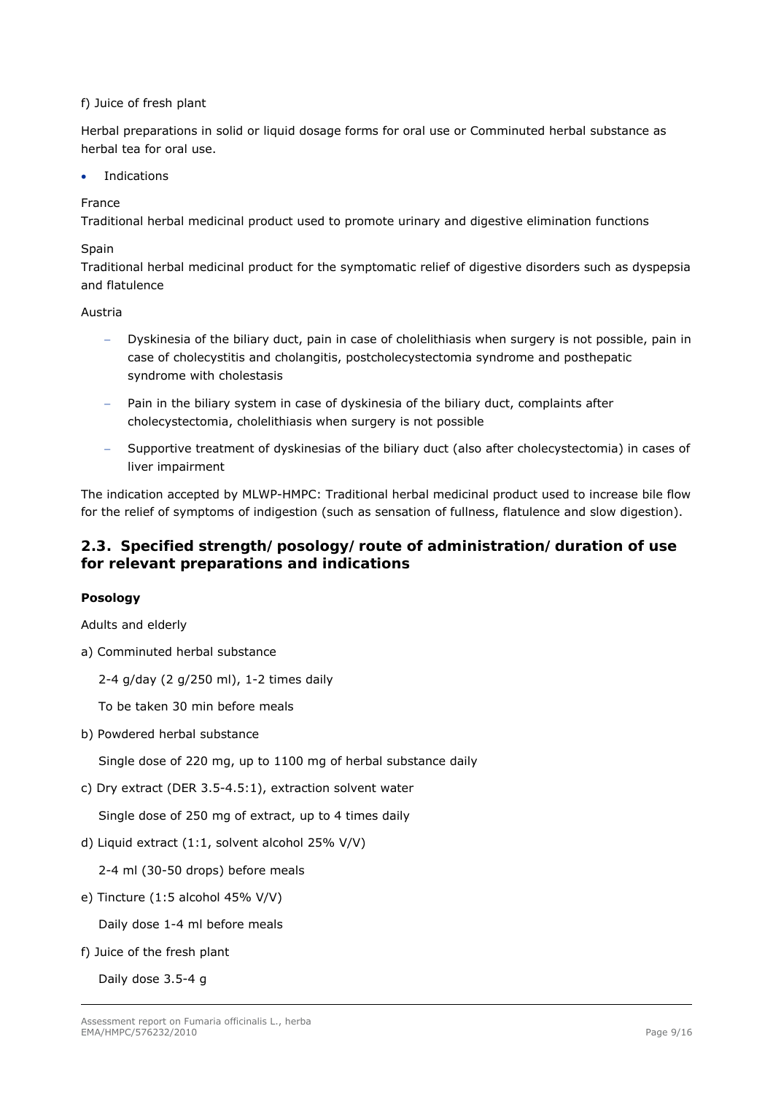### f) Juice of fresh plant

Herbal preparations in solid or liquid dosage forms for oral use or Comminuted herbal substance as herbal tea for oral use.

Indications

### France

Traditional herbal medicinal product used to promote urinary and digestive elimination functions

### Spain

Traditional herbal medicinal product for the symptomatic relief of digestive disorders such as dyspepsia and flatulence

### Austria

- Dyskinesia of the biliary duct, pain in case of cholelithiasis when surgery is not possible, pain in case of cholecystitis and cholangitis, postcholecystectomia syndrome and posthepatic syndrome with cholestasis
- Pain in the biliary system in case of dyskinesia of the biliary duct, complaints after cholecystectomia, cholelithiasis when surgery is not possible
- Supportive treatment of dyskinesias of the biliary duct (also after cholecystectomia) in cases of liver impairment

The indication accepted by MLWP-HMPC: Traditional herbal medicinal product used to increase bile flow for the relief of symptoms of indigestion (such as sensation of fullness, flatulence and slow digestion).

## <span id="page-8-0"></span>*2.3. Specified strength/posology/route of administration/duration of use for relevant preparations and indications*

### **Posology**

*Adults and elderly* 

- a) Comminuted herbal substance
	- 2-4 g/day (2 g/250 ml), 1-2 times daily

To be taken 30 min before meals

b) Powdered herbal substance

Single dose of 220 mg, up to 1100 mg of herbal substance daily

c) Dry extract (DER 3.5-4.5:1), extraction solvent water

Single dose of 250 mg of extract, up to 4 times daily

d) Liquid extract (1:1, solvent alcohol 25% V/V)

2-4 ml (30-50 drops) before meals

e) Tincture (1:5 alcohol 45% V/V)

Daily dose 1-4 ml before meals

f) Juice of the fresh plant

Daily dose 3.5-4 g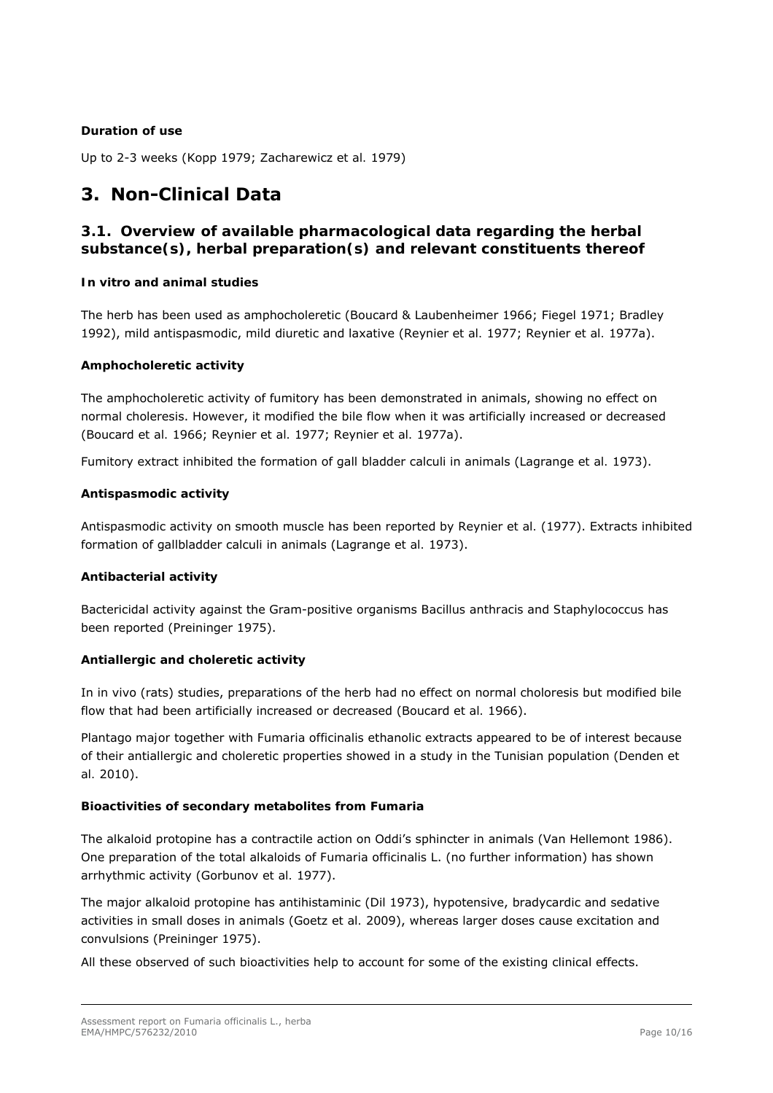### **Duration of use**

Up to 2-3 weeks (Kopp 1979; Zacharewicz *et al.* 1979)

# <span id="page-9-0"></span>**3. Non-Clinical Data**

## <span id="page-9-1"></span>*3.1. Overview of available pharmacological data regarding the herbal substance(s), herbal preparation(s) and relevant constituents thereof*

### *In vitro and animal studies*

The herb has been used as amphocholeretic (Boucard & Laubenheimer 1966; Fiegel 1971; Bradley 1992), mild antispasmodic, mild diuretic and laxative (Reynier *et al.* 1977; Reynier *et al.* 1977a).

#### *Amphocholeretic activity*

The amphocholeretic activity of fumitory has been demonstrated in animals, showing no effect on normal choleresis. However, it modified the bile flow when it was artificially increased or decreased (Boucard *et al.* 1966; Reynier *et al.* 1977; Reynier *et al.* 1977a).

Fumitory extract inhibited the formation of gall bladder calculi in animals (Lagrange *et al.* 1973).

#### *Antispasmodic activity*

Antispasmodic activity on smooth muscle has been reported by Reynier *et al.* (1977). Extracts inhibited formation of gallbladder calculi in animals (Lagrange *et al.* 1973).

### *Antibacterial activity*

Bactericidal activity against the Gram-positive organisms *Bacillus anthracis* and *Staphylococcus* has been reported (Preininger 1975).

### *Antiallergic and choleretic activity*

In *in vivo* (rats) studies, preparations of the herb had no effect on normal choloresis but modified bile flow that had been artificially increased or decreased (Boucard *et al.* 1966).

*Plantago major* together with *Fumaria officinalis* ethanolic extracts appeared to be of interest because of their antiallergic and choleretic properties showed in a study in the Tunisian population (Denden *et al.* 2010).

### *Bioactivities of secondary metabolites from Fumaria*

The alkaloid protopine has a contractile action on Oddi's sphincter in animals (Van Hellemont 1986). One preparation of the total alkaloids of *Fumaria officinalis* L. (no further information) has shown arrhythmic activity (Gorbunov *et al.* 1977).

The major alkaloid protopine has antihistaminic (Dil 1973), hypotensive, bradycardic and sedative activities in small doses in animals (Goetz *et al.* 2009), whereas larger doses cause excitation and convulsions (Preininger 1975).

All these observed of such bioactivities help to account for some of the existing clinical effects.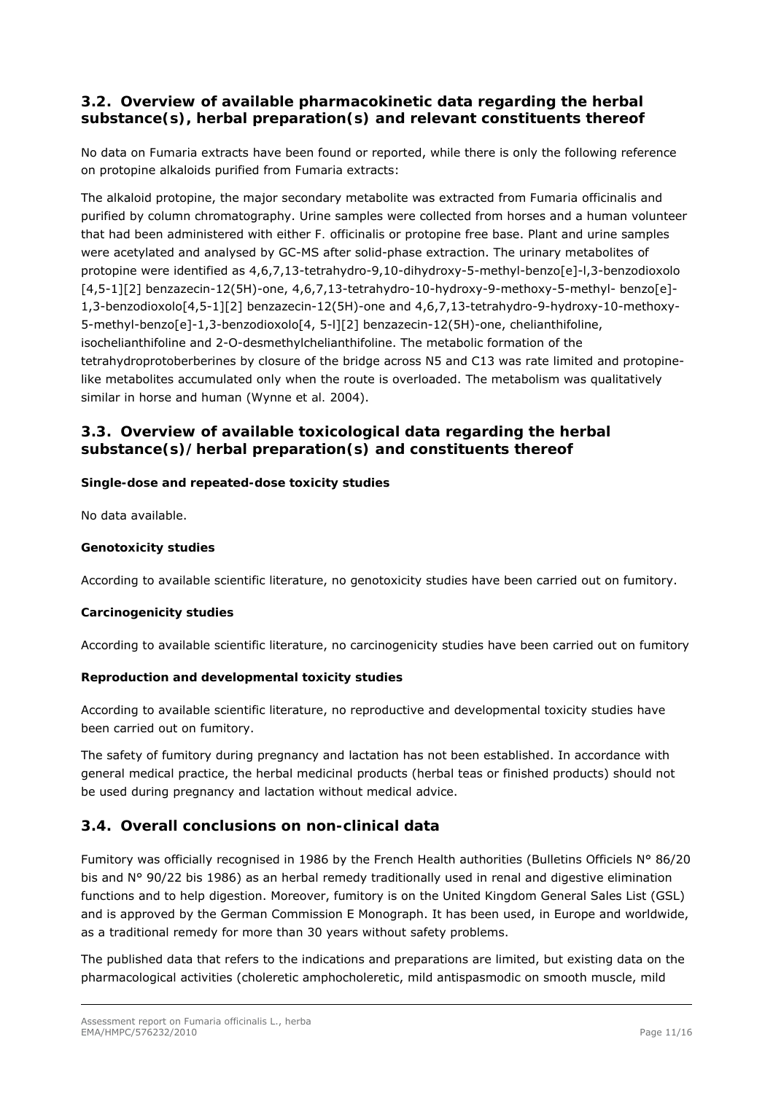## <span id="page-10-0"></span>*3.2. Overview of available pharmacokinetic data regarding the herbal substance(s), herbal preparation(s) and relevant constituents thereof*

No data on *Fumaria* extracts have been found or reported, while there is only the following reference on protopine alkaloids purified from *Fumaria* extracts:

The alkaloid protopine, the major secondary metabolite was extracted from *Fumaria officinalis* and purified by column chromatography. Urine samples were collected from horses and a human volunteer that had been administered with either *F. officinalis* or protopine free base. Plant and urine samples were acetylated and analysed by GC-MS after solid-phase extraction. The urinary metabolites of protopine were identified as 4,6,7,13-tetrahydro-9,10-dihydroxy-5-methyl-benzo[e]-l,3-benzodioxolo [4,5-1][2] benzazecin-12(5H)-one, 4,6,7,13-tetrahydro-10-hydroxy-9-methoxy-5-methyl- benzo[e]- 1,3-benzodioxolo[4,5-1][2] benzazecin-12(5H)-one and 4,6,7,13-tetrahydro-9-hydroxy-10-methoxy-5-methyl-benzo[e]-1,3-benzodioxolo[4, 5-l][2] benzazecin-12(5H)-one, chelianthifoline, isochelianthifoline and 2-O-desmethylchelianthifoline. The metabolic formation of the tetrahydroprotoberberines by closure of the bridge across N5 and C13 was rate limited and protopinelike metabolites accumulated only when the route is overloaded. The metabolism was qualitatively similar in horse and human ([Wynne](http://www.scopus.com/authid/detail.url?origin=resultslist&authorId=7004270353) *et al.* 2004).

## <span id="page-10-1"></span>*3.3. Overview of available toxicological data regarding the herbal substance(s)/herbal preparation(s) and constituents thereof*

### *Single-dose and repeated-dose toxicity studies*

No data available.

### *Genotoxicity studies*

According to available scientific literature, no genotoxicity studies have been carried out on fumitory.

### *Carcinogenicity studies*

According to available scientific literature, no carcinogenicity studies have been carried out on fumitory

### *Reproduction and developmental toxicity studies*

According to available scientific literature, no reproductive and developmental toxicity studies have been carried out on fumitory.

The safety of fumitory during pregnancy and lactation has not been established. In accordance with general medical practice, the herbal medicinal products (herbal teas or finished products) should not be used during pregnancy and lactation without medical advice.

## <span id="page-10-2"></span>*3.4. Overall conclusions on non-clinical data*

Fumitory was officially recognised in 1986 by the French Health authorities (Bulletins Officiels N° 86/20 bis and N° 90/22 bis 1986) as an herbal remedy traditionally used in renal and digestive elimination functions and to help digestion. Moreover, fumitory is on the United Kingdom General Sales List (GSL) and is approved by the German Commission E Monograph. It has been used, in Europe and worldwide, as a traditional remedy for more than 30 years without safety problems.

The published data that refers to the indications and preparations are limited, but existing data on the pharmacological activities (choleretic amphocholeretic, mild antispasmodic on smooth muscle, mild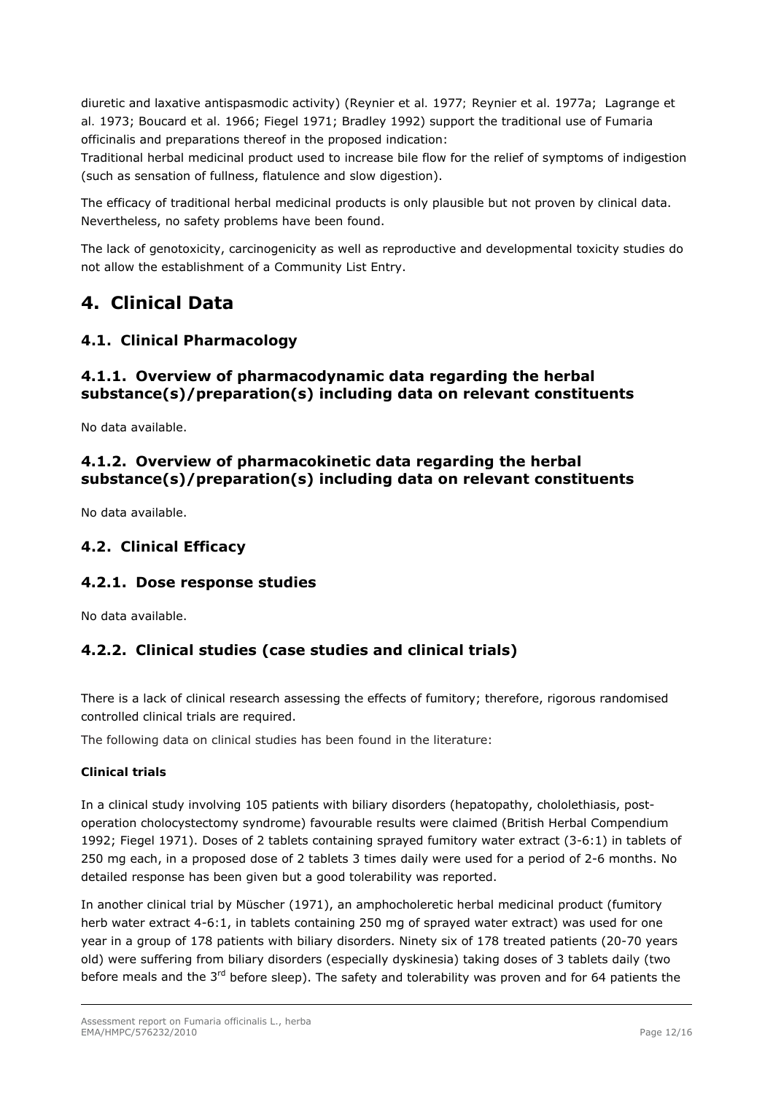diuretic and laxative antispasmodic activity) (Reynier *et al.* 1977*;* Reynier *et al.* 1977a;Lagrange *et al.* 1973; Boucard *et al.* 1966; Fiegel 1971; Bradley 1992) support the traditional use of *Fumaria officinalis* and preparations thereof in the proposed indication:

Traditional herbal medicinal product used to increase bile flow for the relief of symptoms of indigestion (such as sensation of fullness, flatulence and slow digestion).

The efficacy of traditional herbal medicinal products is only plausible but not proven by clinical data. Nevertheless, no safety problems have been found.

The lack of genotoxicity, carcinogenicity as well as reproductive and developmental toxicity studies do not allow the establishment of a Community List Entry.

# <span id="page-11-0"></span>**4. Clinical Data**

## <span id="page-11-1"></span>*4.1. Clinical Pharmacology*

## <span id="page-11-2"></span>**4.1.1. Overview of pharmacodynamic data regarding the herbal substance(s)/preparation(s) including data on relevant constituents**

No data available.

# <span id="page-11-3"></span>**4.1.2. Overview of pharmacokinetic data regarding the herbal substance(s)/preparation(s) including data on relevant constituents**

No data available.

## <span id="page-11-4"></span>*4.2. Clinical Efficacy*

## <span id="page-11-5"></span>**4.2.1. Dose response studies**

No data available.

## <span id="page-11-6"></span>**4.2.2. Clinical studies (case studies and clinical trials)**

There is a lack of clinical research assessing the effects of fumitory; therefore, rigorous randomised controlled clinical trials are required.

The following data on clinical studies has been found in the literature:

### *Clinical trials*

In a clinical study involving 105 patients with biliary disorders (hepatopathy, chololethiasis, postoperation cholocystectomy syndrome) favourable results were claimed (British Herbal Compendium 1992; Fiegel 1971). Doses of 2 tablets containing sprayed fumitory water extract (3-6:1) in tablets of 250 mg each, in a proposed dose of 2 tablets 3 times daily were used for a period of 2-6 months. No detailed response has been given but a good tolerability was reported.

In another clinical trial by Müscher (1971), an amphocholeretic herbal medicinal product (fumitory herb water extract 4-6:1, in tablets containing 250 mg of sprayed water extract) was used for one year in a group of 178 patients with biliary disorders. Ninety six of 178 treated patients (20-70 years old) were suffering from biliary disorders (especially dyskinesia) taking doses of 3 tablets daily (two before meals and the 3<sup>rd</sup> before sleep). The safety and tolerability was proven and for 64 patients the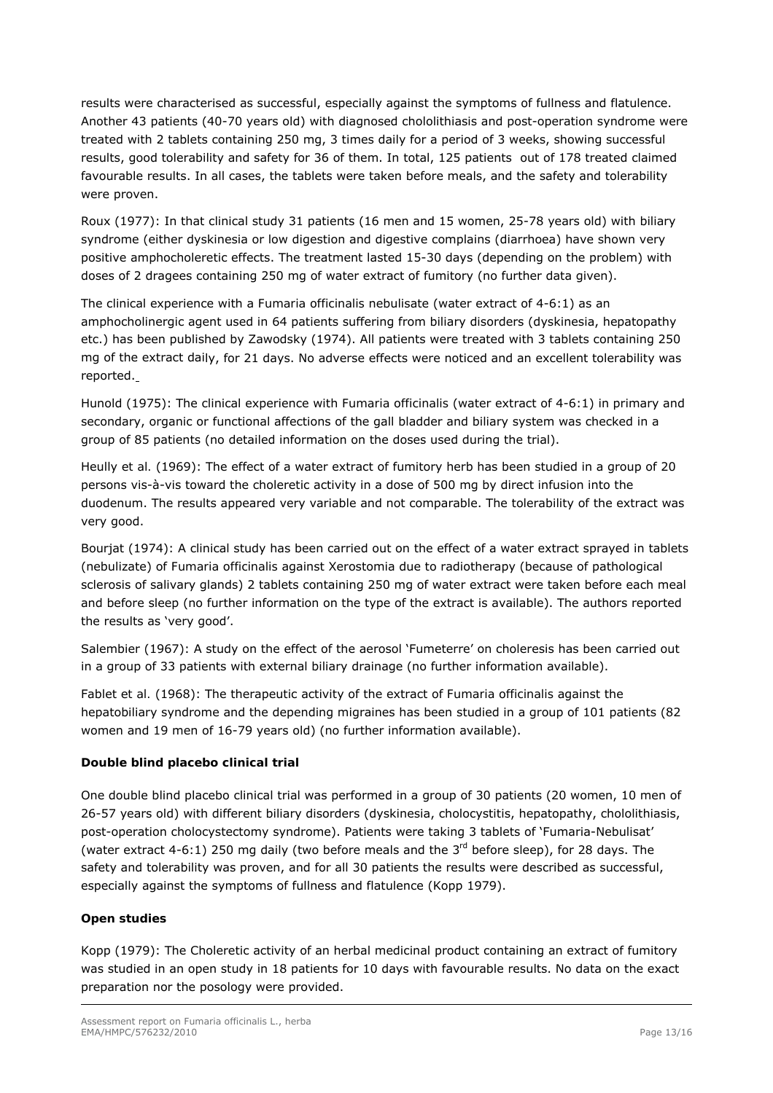results were characterised as successful, especially against the symptoms of fullness and flatulence. Another 43 patients (40-70 years old) with diagnosed chololithiasis and post-operation syndrome were treated with 2 tablets containing 250 mg, 3 times daily for a period of 3 weeks, showing successful results, good tolerability and safety for 36 of them. In total, 125 patients out of 178 treated claimed favourable results. In all cases, the tablets were taken before meals, and the safety and tolerability were proven.

Roux (1977): In that clinical study 31 patients (16 men and 15 women, 25-78 years old) with biliary syndrome (either dyskinesia or low digestion and digestive complains (diarrhoea) have shown very positive amphocholeretic effects. The treatment lasted 15-30 days (depending on the problem) with doses of 2 dragees containing 250 mg of water extract of fumitory (no further data given).

The clinical experience with a *Fumaria officinalis* nebulisate (water extract of 4-6:1) as an amphocholinergic agent used in 64 patients suffering from biliary disorders (dyskinesia, hepatopathy etc.) has been published by [Zawodsky \(1974\). All patients were treated with 3 tablets containing 250](http://www.scopus.com/authid/detail.url?origin=resultslist&authorId=6602334708)  [mg of the extract daily, for 21 days. No adverse effects were noticed and an excellent tolerability was](http://www.scopus.com/authid/detail.url?origin=resultslist&authorId=6602334708)  [reported.](http://www.scopus.com/authid/detail.url?origin=resultslist&authorId=6602334708) 

[Hunold \(1975\)](http://www.scopus.com/authid/detail.url?origin=resultslist&authorId=7004168352): The clinical experience with *Fumaria officinalis* [\(water extract of 4-6:1\) in primary and](http://www.scopus.com/record/display.url?eid=2-s2.0-0016857394&origin=resultslist&sort=plf-f&src=s&st1=Fumaria+officinalis&nlo=&nlr=&nls=&sid=QtkHzAlEexCfmiZ3X15sHO1%3a30&sot=b&sdt=b&sl=34&s=TITLE-ABS-KEY%28Fumaria+officinalis%29&relpos=85&relpos=5)  [secondary, organic or functional affections of the gall bladder and biliary system was checked in a](http://www.scopus.com/record/display.url?eid=2-s2.0-0016857394&origin=resultslist&sort=plf-f&src=s&st1=Fumaria+officinalis&nlo=&nlr=&nls=&sid=QtkHzAlEexCfmiZ3X15sHO1%3a30&sot=b&sdt=b&sl=34&s=TITLE-ABS-KEY%28Fumaria+officinalis%29&relpos=85&relpos=5)  [group of 85 patients \(no detailed information on the doses used during the trial\).](http://www.scopus.com/record/display.url?eid=2-s2.0-0016857394&origin=resultslist&sort=plf-f&src=s&st1=Fumaria+officinalis&nlo=&nlr=&nls=&sid=QtkHzAlEexCfmiZ3X15sHO1%3a30&sot=b&sdt=b&sl=34&s=TITLE-ABS-KEY%28Fumaria+officinalis%29&relpos=85&relpos=5) 

Heully *et al.* (1969): The effect of a water extract of fumitory herb has been studied in a group of 20 persons vis-à-vis toward the choleretic activity in a dose of 500 mg by direct infusion into the duodenum. The results appeared very variable and not comparable. The tolerability of the extract was very good.

[Bourjat \(1974\)](http://www.scopus.com/authid/detail.url?origin=resultslist&authorId=7005362646): A clinical study has been carried out on the effect of a water extract sprayed in tablets (nebulizate) of *Fumaria officinalis* against [Xerostomia due to radiotherapy \(because of pathological](http://www.scopus.com/record/display.url?eid=2-s2.0-0015965461&origin=resultslist&sort=plf-f&src=s&st1=Fumaria+officinalis&nlo=&nlr=&nls=&sid=QtkHzAlEexCfmiZ3X15sHO1%3a30&sot=b&sdt=b&sl=34&s=TITLE-ABS-KEY%28Fumaria+officinalis%29&relpos=87&relpos=7)  [sclerosis of salivary glands\) 2 tablets containing 250 mg of water extract were taken before each meal](http://www.scopus.com/record/display.url?eid=2-s2.0-0015965461&origin=resultslist&sort=plf-f&src=s&st1=Fumaria+officinalis&nlo=&nlr=&nls=&sid=QtkHzAlEexCfmiZ3X15sHO1%3a30&sot=b&sdt=b&sl=34&s=TITLE-ABS-KEY%28Fumaria+officinalis%29&relpos=87&relpos=7)  [and before sleep \(no further information on the type of the extract is available\).](http://www.scopus.com/record/display.url?eid=2-s2.0-0015965461&origin=resultslist&sort=plf-f&src=s&st1=Fumaria+officinalis&nlo=&nlr=&nls=&sid=QtkHzAlEexCfmiZ3X15sHO1%3a30&sot=b&sdt=b&sl=34&s=TITLE-ABS-KEY%28Fumaria+officinalis%29&relpos=87&relpos=7) The authors reported the results as 'very good'.

Salembier (1967): A [study on the effect of the aerosol 'Fumeterre' on choleresis has been carried out](http://www.scopus.com/record/display.url?eid=2-s2.0-0014153280&origin=reflist&sort=plf-f&src=s&st1=Fumaria+officinalis&nlo=&nlr=&nls=&sid=QtkHzAlEexCfmiZ3X15sHO1%3a30&sot=b&sdt=b&sl=34&s=TITLE-ABS-KEY%28Fumaria+officinalis%29)  [in a group of 33 patients with external biliary drainage](http://www.scopus.com/record/display.url?eid=2-s2.0-0014153280&origin=reflist&sort=plf-f&src=s&st1=Fumaria+officinalis&nlo=&nlr=&nls=&sid=QtkHzAlEexCfmiZ3X15sHO1%3a30&sot=b&sdt=b&sl=34&s=TITLE-ABS-KEY%28Fumaria+officinalis%29) (no further information available).

Fablet *et al.* (1968): The therapeutic activity of the extract of *Fumaria officinalis* against the hepatobiliary syndrome and the depending migraines has been studied in a group of 101 patients (82 women and 19 men of 16-79 years old) (no further information available).

### *Double blind placebo clinical trial*

One double blind placebo clinical trial was performed in a group of 30 patients (20 women, 10 men of 26-57 years old) with different biliary disorders (dyskinesia, cholocystitis, hepatopathy, chololithiasis, post-operation cholocystectomy syndrome). Patients were taking 3 tablets of 'Fumaria-Nebulisat' (water extract 4-6:1) 250 mg daily (two before meals and the  $3<sup>rd</sup>$  before sleep), for 28 days. The safety and tolerability was proven, and for all 30 patients the results were described as successful, especially against the symptoms of fullness and flatulence (Kopp 1979).

### *Open studies*

Kopp (1979): The Choleretic activity of an herbal medicinal product containing an extract of fumitory was studied in an open study in 18 patients for 10 days with favourable results. No data on the exact preparation nor the posology were provided.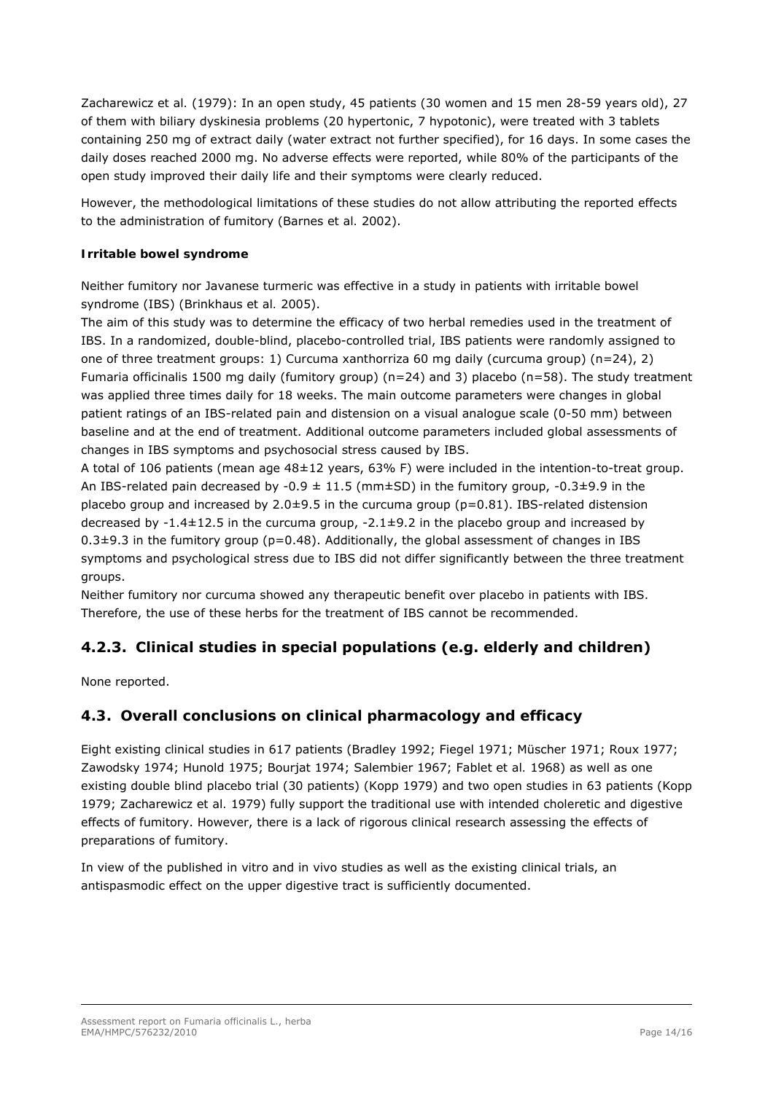Zacharewicz *et al.* (1979): In an open study, 45 patients (30 women and 15 men 28-59 years old), 27 of them with biliary dyskinesia problems (20 hypertonic, 7 hypotonic), were treated with 3 tablets containing 250 mg of extract daily (water extract not further specified), for 16 days. In some cases the daily doses reached 2000 mg. No adverse effects were reported, while 80% of the participants of the open study improved their daily life and their symptoms were clearly reduced.

However, the methodological limitations of these studies do not allow attributing the reported effects to the administration of fumitory (Barnes *et al.* 2002).

### *Irritable bowel syndrome*

Neither fumitory nor Javanese turmeric was effective in a study in patients with irritable bowel syndrome (IBS) (Brinkhaus *et al.* 2005).

The aim of this study was to determine the efficacy of two herbal remedies used in the treatment of IBS. In a randomized, double-blind, placebo-controlled trial, IBS patients were randomly assigned to one of three treatment groups: 1) *Curcuma xanthorriza* 60 mg daily (curcuma group) (n=24), 2) *Fumaria officinalis* 1500 mg daily (fumitory group) (n=24) and 3) placebo (n=58). The study treatment was applied three times daily for 18 weeks. The main outcome parameters were changes in global patient ratings of an IBS-related pain and distension on a visual analogue scale (0-50 mm) between baseline and at the end of treatment. Additional outcome parameters included global assessments of changes in IBS symptoms and psychosocial stress caused by IBS.

A total of 106 patients (mean age 48±12 years, 63% F) were included in the intention-to-treat group. An IBS-related pain decreased by -0.9  $\pm$  11.5 (mm $\pm$ SD) in the fumitory group, -0.3 $\pm$ 9.9 in the placebo group and increased by  $2.0\pm9.5$  in the curcuma group ( $p=0.81$ ). IBS-related distension decreased by -1.4±12.5 in the curcuma group, -2.1±9.2 in the placebo group and increased by  $0.3\pm9.3$  in the fumitory group (p=0.48). Additionally, the global assessment of changes in IBS symptoms and psychological stress due to IBS did not differ significantly between the three treatment groups.

Neither fumitory nor curcuma showed any therapeutic benefit over placebo in patients with IBS. Therefore, the use of these herbs for the treatment of IBS cannot be recommended.

# <span id="page-13-0"></span>**4.2.3. Clinical studies in special populations (e.g. elderly and children)**

None reported.

## <span id="page-13-1"></span>*4.3. Overall conclusions on clinical pharmacology and efficacy*

Eight existing clinical studies in 617 patients (Bradley 1992; Fiegel 1971; Müscher 1971; Roux 1977; Zawodsky 1974; Hunold 1975; [Bourjat 1974](http://www.scopus.com/authid/detail.url?origin=resultslist&authorId=7005362646); Salembier 1967; Fablet *et al.* 1968) as well as one existing double blind placebo trial (30 patients) (Kopp 1979) and two open studies in 63 patients (Kopp 1979; Zacharewicz *et al.* 1979) fully support the traditional use with intended choleretic and digestive effects of fumitory. However, there is a lack of rigorous clinical research assessing the effects of preparations of fumitory.

In view of the published *in vitro* and *in vivo* studies as well as the existing clinical trials, an antispasmodic effect on the upper digestive tract is sufficiently documented.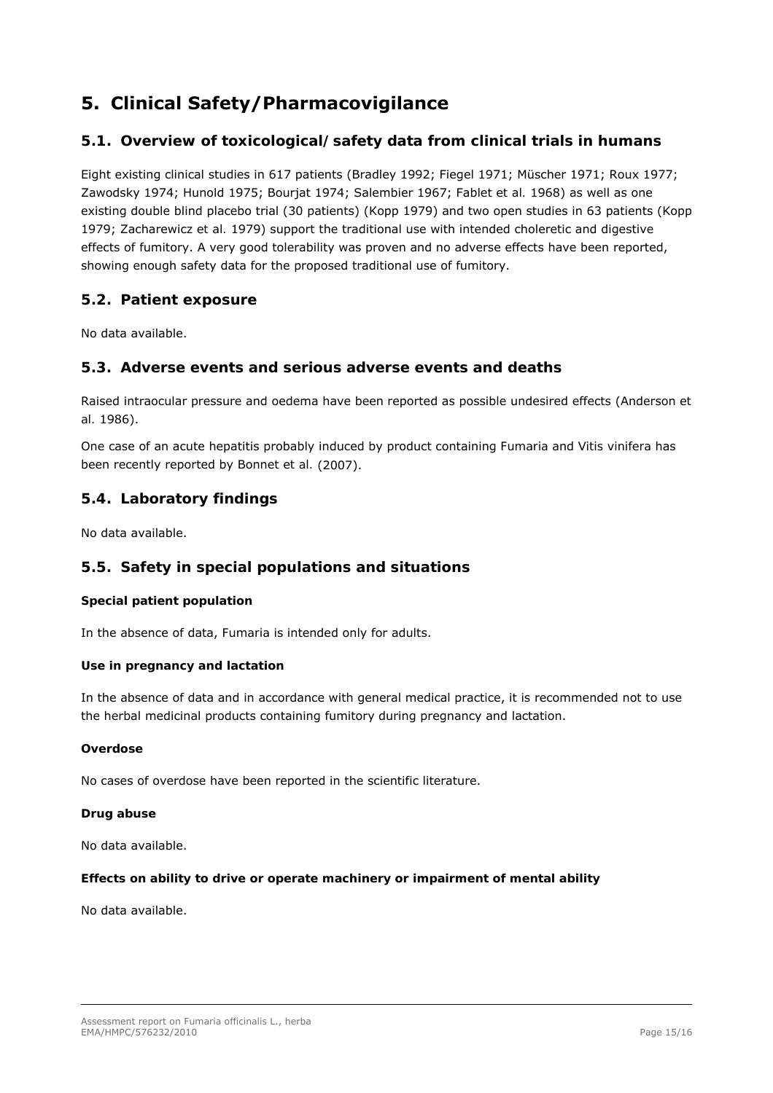# <span id="page-14-0"></span>**5. Clinical Safety/Pharmacovigilance**

## <span id="page-14-1"></span>*5.1. Overview of toxicological/safety data from clinical trials in humans*

Eight existing clinical studies in 617 patients (Bradley 1992; Fiegel 1971; Müscher 1971; Roux 1977; Zawodsky 1974; Hunold 1975; [Bourjat 1974](http://www.scopus.com/authid/detail.url?origin=resultslist&authorId=7005362646); Salembier 1967; Fablet *et al.* 1968) as well as one existing double blind placebo trial (30 patients) (Kopp 1979) and two open studies in 63 patients (Kopp 1979; Zacharewicz *et al.* 1979) support the traditional use with intended choleretic and digestive effects of fumitory. A very good tolerability was proven and no adverse effects have been reported, showing enough safety data for the proposed traditional use of fumitory.

## <span id="page-14-2"></span>*5.2. Patient exposure*

No data available.

## <span id="page-14-3"></span>*5.3. Adverse events and serious adverse events and deaths*

Raised intraocular pressure and oedema have been reported as possible undesired effects (Anderson *et al.* 1986).

One case of an acute hepatitis probably induced by product containing *Fumaria* and *Vitis vinifera* has been recently reported by Bonnet *et al.* (2007).

## <span id="page-14-4"></span>*5.4. Laboratory findings*

No data available.

## <span id="page-14-5"></span>*5.5. Safety in special populations and situations*

#### *Special patient population*

In the absence of data, *Fumaria* is intended only for adults.

#### *Use in pregnancy and lactation*

In the absence of data and in accordance with general medical practice, it is recommended not to use the herbal medicinal products containing fumitory during pregnancy and lactation.

#### *Overdose*

No cases of overdose have been reported in the scientific literature.

### *Drug abuse*

No data available.

#### *Effects on ability to drive or operate machinery or impairment of mental ability*

No data available.